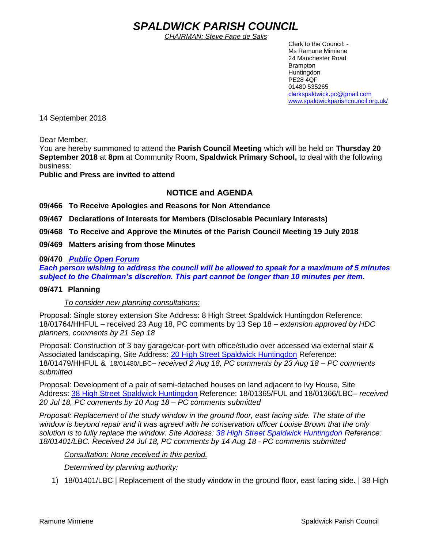# *SPALDWICK PARISH COUNCIL*

*CHAIRMAN: Steve Fane de Salis*

 Clerk to the Council: - Ms Ramune Mimiene 24 Manchester Road Brampton **Huntingdon** PE28 4QF 01480 535265 [clerkspaldwick.pc@gmail.com](mailto:clerkspaldwick.pc@gmail.com) [www.spaldwickparishcouncil.org.uk/](http://www.spaldwickparishcouncil.org.uk/)

14 September 2018

Dear Member,

You are hereby summoned to attend the **Parish Council Meeting** which will be held on **Thursday 20 September 2018** at **8pm** at Community Room, **Spaldwick Primary School,** to deal with the following business:

**Public and Press are invited to attend**

# **NOTICE and AGENDA**

**09/466 To Receive Apologies and Reasons for Non Attendance**

**09/467 Declarations of Interests for Members (Disclosable Pecuniary Interests)**

**09/468 To Receive and Approve the Minutes of the Parish Council Meeting 19 July 2018**

**09/469 Matters arising from those Minutes**

## **09/470** *Public Open Forum*

*Each person wishing to address the council will be allowed to speak for a maximum of 5 minutes subject to the Chairman's discretion. This part cannot be longer than 10 minutes per item.* 

## **09/471 Planning**

*To consider new planning consultations:* 

Proposal: Single storey extension Site Address: 8 High Street Spaldwick Huntingdon Reference: 18/01764/HHFUL – received 23 Aug 18, PC comments by 13 Sep 18 – *extension approved by HDC planners, comments by 21 Sep 18*

Proposal: Construction of 3 bay garage/car-port with office/studio over accessed via external stair & Associated landscaping. Site Address: [20 High Street Spaldwick Huntingdon](https://maps.google.com/?q=20+High+Street+Spaldwick+Huntingdon&entry=gmail&source=g) Reference: 18/01479/HHFUL & 18/01480/LBC– *received 2 Aug 18, PC comments by 23 Aug 18 – PC comments submitted*

Proposal: Development of a pair of semi-detached houses on land adjacent to Ivy House, Site Address: [38 High Street Spaldwick Huntingdon](https://maps.google.com/?q=38+High+Street+Spaldwick+Huntingdon&entry=gmail&source=g) Reference: 18/01365/FUL and 18/01366/LBC– *received 20 Jul 18, PC comments by 10 Aug 18 – PC comments submitted*

*Proposal: Replacement of the study window in the ground floor, east facing side. The state of the window is beyond repair and it was agreed with he conservation officer Louise Brown that the only solution is to fully replace the window. Site Address: [38 High Street Spaldwick Huntingdon](https://maps.google.com/?q=38+High+Street+Spaldwick+Huntingdon&entry=gmail&source=g) Reference: 18/01401/LBC. Received 24 Jul 18, PC comments by 14 Aug 18 - PC comments submitted* 

*Consultation: None received in this period.*

*Determined by planning authority:*

1) 18/01401/LBC | Replacement of the study window in the ground floor, east facing side. | 38 High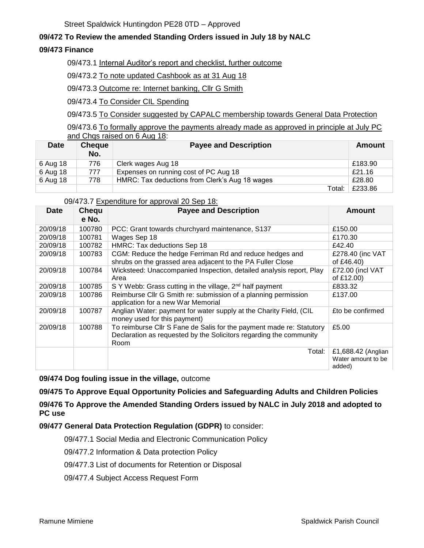# **09/472 To Review the amended Standing Orders issued in July 18 by NALC**

## **09/473 Finance**

09/473.1 Internal Auditor's report and checklist, further outcome

09/473.2 To note updated Cashbook as at 31 Aug 18

09/473.3 Outcome re: Internet banking, Cllr G Smith

09/473.4 To Consider CIL Spending

09/473.5 To Consider suggested by CAPALC membership towards General Data Protection

09/473.6 To formally approve the payments already made as approved in principle at July PC and Chqs raised on 6 Aug 18:

| <b>Date</b> | <b>Cheque</b><br>No. | <b>Payee and Description</b>                   | Amount  |
|-------------|----------------------|------------------------------------------------|---------|
| 6 Aug 18    | 776                  | Clerk wages Aug 18                             | £183.90 |
| 6 Aug 18    | 777                  | Expenses on running cost of PC Aug 18          | £21.16  |
| 6 Aug 18    | 778                  | HMRC: Tax deductions from Clerk's Aug 18 wages | £28.80  |
|             |                      | Total:                                         | £233.86 |

#### 09/473.7 Expenditure for approval 20 Sep 18:

| <b>Date</b> | Chequ<br>e No. | <b>Payee and Description</b>                                                                                                                       | <b>Amount</b>                                      |
|-------------|----------------|----------------------------------------------------------------------------------------------------------------------------------------------------|----------------------------------------------------|
| 20/09/18    | 100780         | PCC: Grant towards churchyard maintenance, S137                                                                                                    | £150.00                                            |
| 20/09/18    | 100781         | Wages Sep 18                                                                                                                                       | £170.30                                            |
| 20/09/18    | 100782         | HMRC: Tax deductions Sep 18                                                                                                                        | £42.40                                             |
| 20/09/18    | 100783         | CGM: Reduce the hedge Ferriman Rd and reduce hedges and<br>shrubs on the grassed area adjacent to the PA Fuller Close                              | £278.40 (inc VAT<br>of £46.40)                     |
| 20/09/18    | 100784         | Wicksteed: Unaccompanied Inspection, detailed analysis report, Play<br>Area                                                                        | £72.00 (incl VAT<br>of £12.00)                     |
| 20/09/18    | 100785         | S Y Webb: Grass cutting in the village, 2 <sup>nd</sup> half payment                                                                               | £833.32                                            |
| 20/09/18    | 100786         | Reimburse Cllr G Smith re: submission of a planning permission<br>application for a new War Memorial                                               | £137.00                                            |
| 20/09/18    | 100787         | Anglian Water: payment for water supply at the Charity Field, (CIL<br>money used for this payment)                                                 | £to be confirmed                                   |
| 20/09/18    | 100788         | To reimburse Cllr S Fane de Salis for the payment made re: Statutory<br>Declaration as requested by the Solicitors regarding the community<br>Room | £5.00                                              |
|             |                | Total:                                                                                                                                             | £1,688.42 (Anglian<br>Water amount to be<br>added) |

**09/474 Dog fouling issue in the village,** outcome

**09/475 To Approve Equal Opportunity Policies and Safeguarding Adults and Children Policies**

**09/476 To Approve the Amended Standing Orders issued by NALC in July 2018 and adopted to PC use**

**09/477 General Data Protection Regulation (GDPR)** to consider:

09/477.1 Social Media and Electronic Communication Policy

09/477.2 Information & Data protection Policy

09/477.3 List of documents for Retention or Disposal

09/477.4 Subject Access Request Form